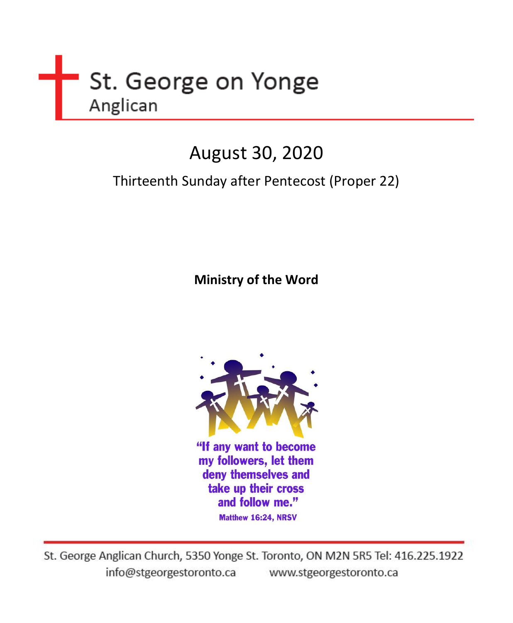

# August 30, 2020

# Thirteenth Sunday after Pentecost (Proper 22)

**Ministry of the Word** 



"If any want to become my followers, let them deny themselves and take up their cross and follow me." Matthew 16:24, NRSV

St. George Anglican Church, 5350 Yonge St. Toronto, ON M2N 5R5 Tel: 416.225.1922 info@stgeorgestoronto.ca www.stgeorgestoronto.ca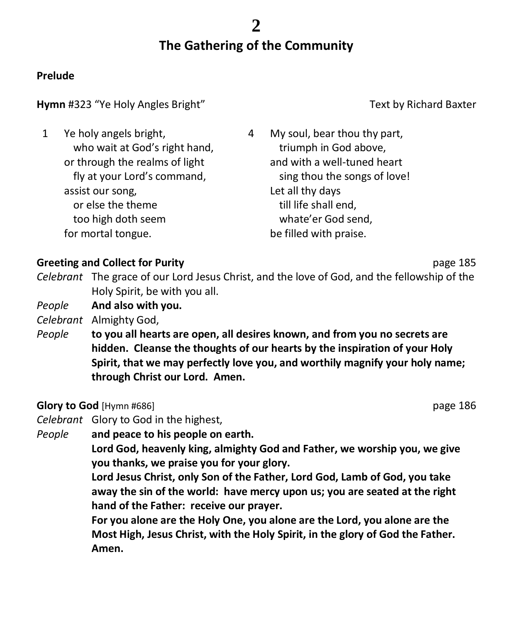# **The Gathering of the Community**

## **Prelude**

## **Hymn** #323 "Ye Holy Angles Bright" Text by Richard Baxter

| 1 | Ye holy angels bright,<br>who wait at God's right hand,<br>or through the realms of light | 4 | My soul, bear thou thy part,<br>triumph in God above,<br>and with a well-tuned heart |
|---|-------------------------------------------------------------------------------------------|---|--------------------------------------------------------------------------------------|
|   | fly at your Lord's command,                                                               |   | sing thou the songs of love!                                                         |
|   | assist our song,                                                                          |   | Let all thy days                                                                     |
|   | or else the theme                                                                         |   | till life shall end,                                                                 |
|   | too high doth seem                                                                        |   | whate'er God send,                                                                   |
|   | for mortal tongue.                                                                        |   | be filled with praise.                                                               |

## **Greeting and Collect for Purity and Collect for Purity and Collect for Purity According to According the Collect of Purity According to According the Purity According to According the Purity According to According the Pur**

- *Celebrant* The grace of our Lord Jesus Christ, and the love of God, and the fellowship of the Holy Spirit, be with you all.
- *People* **And also with you.**
- *Celebrant* Almighty God,
- *People* **to you all hearts are open, all desires known, and from you no secrets are hidden. Cleanse the thoughts of our hearts by the inspiration of your Holy Spirit, that we may perfectly love you, and worthily magnify your holy name; through Christ our Lord. Amen.**

## **Glory to God** [Hymn #686] **page 186 page 186**

- *Celebrant* Glory to God in the highest,
- *People* **and peace to his people on earth.**

**Lord God, heavenly king, almighty God and Father, we worship you, we give you thanks, we praise you for your glory.**

**Lord Jesus Christ, only Son of the Father, Lord God, Lamb of God, you take away the sin of the world: have mercy upon us; you are seated at the right hand of the Father: receive our prayer.**

**For you alone are the Holy One, you alone are the Lord, you alone are the Most High, Jesus Christ, with the Holy Spirit, in the glory of God the Father. Amen.**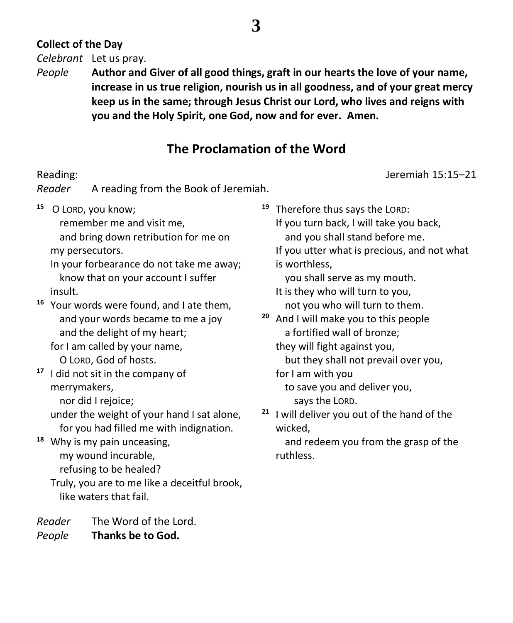# **Collect of the Day**

*Celebrant* Let us pray.

*People* **Author and Giver of all good things, graft in our hearts the love of your name, increase in us true religion, nourish us in all goodness, and of your great mercy keep us in the same; through Jesus Christ our Lord, who lives and reigns with you and the Holy Spirit, one God, now and for ever. Amen.**

# **The Proclamation of the Word**

Reading: Jeremiah 15:15–21

*Reader* A reading from the Book of Jeremiah.

**<sup>15</sup>** O LORD, you know;

remember me and visit me,

 and bring down retribution for me on my persecutors.

In your forbearance do not take me away; know that on your account I suffer insult.

**<sup>16</sup>** Your words were found, and I ate them, and your words became to me a joy and the delight of my heart;

for I am called by your name,

O LORD, God of hosts.

**<sup>17</sup>** I did not sit in the company of merrymakers,

nor did I rejoice;

under the weight of your hand I sat alone, for you had filled me with indignation.

**<sup>18</sup>** Why is my pain unceasing, my wound incurable,

refusing to be healed?

Truly, you are to me like a deceitful brook, like waters that fail.

*Reader* The Word of the Lord. *People* **Thanks be to God.**

**<sup>19</sup>** Therefore thus says the LORD:

If you turn back, I will take you back, and you shall stand before me.

If you utter what is precious, and not what is worthless,

you shall serve as my mouth.

It is they who will turn to you, not you who will turn to them.

**<sup>20</sup>** And I will make you to this people a fortified wall of bronze;

they will fight against you,

but they shall not prevail over you,

for I am with you

 to save you and deliver you, says the LORD.

**<sup>21</sup>** I will deliver you out of the hand of the wicked,

 and redeem you from the grasp of the ruthless.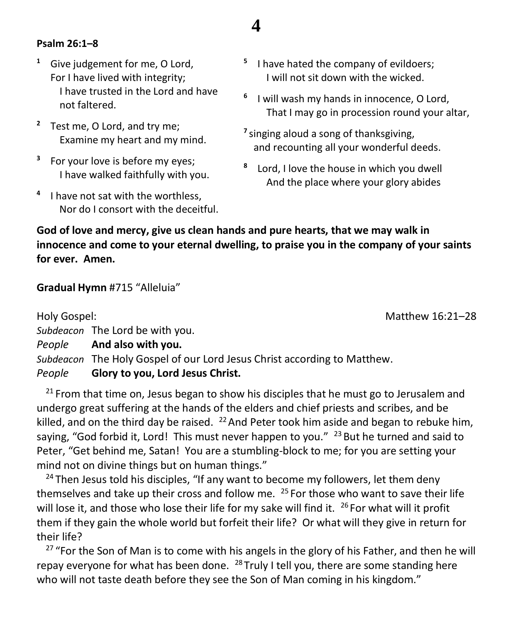### **Psalm 26:1–8**

- **<sup>1</sup>** Give judgement for me, O Lord, For I have lived with integrity; I have trusted in the Lord and have not faltered.
- **<sup>2</sup>** Test me, O Lord, and try me; Examine my heart and my mind.
- **3** For your love is before my eyes; I have walked faithfully with you.
- **4** I have not sat with the worthless, Nor do I consort with the deceitful.
- **5** I have hated the company of evildoers; I will not sit down with the wicked.
- **6** I will wash my hands in innocence, O Lord, That I may go in procession round your altar,
- **7** singing aloud a song of thanksgiving, and recounting all your wonderful deeds.
- **8** Lord, I love the house in which you dwell And the place where your glory abides

**God of love and mercy, give us clean hands and pure hearts, that we may walk in innocence and come to your eternal dwelling, to praise you in the company of your saints for ever. Amen.**

**4**

#### **Gradual Hymn** #715 "Alleluia"

Holy Gospel: Matthew 16:21–28 *Subdeacon* The Lord be with you. *People* **And also with you.** *Subdeacon* The Holy Gospel of our Lord Jesus Christ according to Matthew. *People* **Glory to you, Lord Jesus Christ.**

 $21$  From that time on, Jesus began to show his disciples that he must go to Jerusalem and undergo great suffering at the hands of the elders and chief priests and scribes, and be killed, and on the third day be raised.  $^{22}$  And Peter took him aside and began to rebuke him, saying, "God forbid it, Lord! This must never happen to you."  $^{23}$  But he turned and said to Peter, "Get behind me, Satan! You are a stumbling-block to me; for you are setting your mind not on divine things but on human things."

 $24$  Then Jesus told his disciples, "If any want to become my followers, let them deny themselves and take up their cross and follow me.  $25$  For those who want to save their life will lose it, and those who lose their life for my sake will find it. <sup>26</sup> For what will it profit them if they gain the whole world but forfeit their life? Or what will they give in return for their life?

<sup>27</sup> "For the Son of Man is to come with his angels in the glory of his Father, and then he will repay everyone for what has been done.  $^{28}$  Truly I tell you, there are some standing here who will not taste death before they see the Son of Man coming in his kingdom."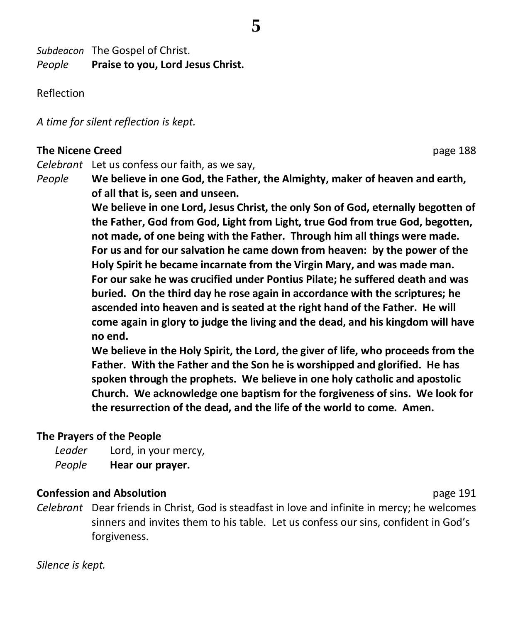**5**

*Subdeacon* The Gospel of Christ. *People* **Praise to you, Lord Jesus Christ.**

Reflection

*A time for silent reflection is kept.*

## **The Nicene Creed** page 188

*Celebrant* Let us confess our faith, as we say,

*People* **We believe in one God, the Father, the Almighty, maker of heaven and earth, of all that is, seen and unseen.**

**We believe in one Lord, Jesus Christ, the only Son of God, eternally begotten of the Father, God from God, Light from Light, true God from true God, begotten, not made, of one being with the Father. Through him all things were made. For us and for our salvation he came down from heaven: by the power of the Holy Spirit he became incarnate from the Virgin Mary, and was made man. For our sake he was crucified under Pontius Pilate; he suffered death and was buried. On the third day he rose again in accordance with the scriptures; he ascended into heaven and is seated at the right hand of the Father. He will come again in glory to judge the living and the dead, and his kingdom will have no end.**

**We believe in the Holy Spirit, the Lord, the giver of life, who proceeds from the Father. With the Father and the Son he is worshipped and glorified. He has spoken through the prophets. We believe in one holy catholic and apostolic Church. We acknowledge one baptism for the forgiveness of sins. We look for the resurrection of the dead, and the life of the world to come. Amen.**

# **The Prayers of the People**

*Leader* Lord, in your mercy, *People* **Hear our prayer.**

## **Confession and Absolution page 191 page 191**

*Celebrant* Dear friends in Christ, God is steadfast in love and infinite in mercy; he welcomes sinners and invites them to his table. Let us confess our sins, confident in God's forgiveness.

*Silence is kept.*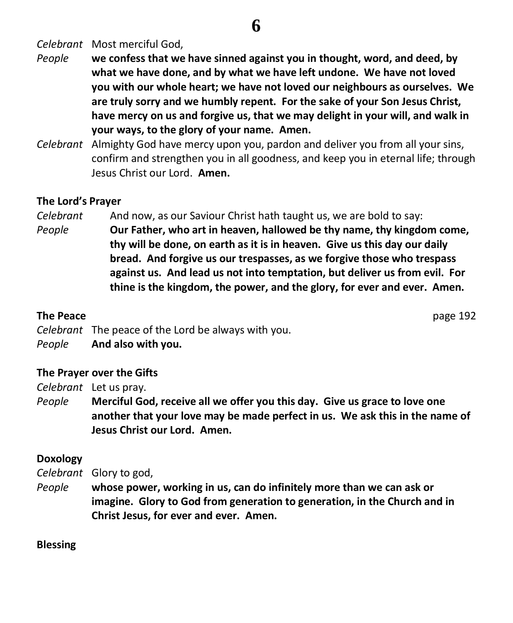# **6**

*Celebrant* Most merciful God,

- *People* **we confess that we have sinned against you in thought, word, and deed, by what we have done, and by what we have left undone. We have not loved you with our whole heart; we have not loved our neighbours as ourselves. We are truly sorry and we humbly repent. For the sake of your Son Jesus Christ, have mercy on us and forgive us, that we may delight in your will, and walk in your ways, to the glory of your name. Amen.**
- *Celebrant* Almighty God have mercy upon you, pardon and deliver you from all your sins, confirm and strengthen you in all goodness, and keep you in eternal life; through Jesus Christ our Lord. **Amen.**

#### **The Lord's Prayer**

*Celebrant* And now, as our Saviour Christ hath taught us, we are bold to say: *People* **Our Father, who art in heaven, hallowed be thy name, thy kingdom come, thy will be done, on earth as it is in heaven. Give us this day our daily bread. And forgive us our trespasses, as we forgive those who trespass against us. And lead us not into temptation, but deliver us from evil. For thine is the kingdom, the power, and the glory, for ever and ever. Amen.**

#### **The Peace** page 192

*Celebrant* The peace of the Lord be always with you.

*People* **And also with you.**

#### **The Prayer over the Gifts**

*Celebrant* Let us pray.

*People* **Merciful God, receive all we offer you this day. Give us grace to love one another that your love may be made perfect in us. We ask this in the name of Jesus Christ our Lord. Amen.**

#### **Doxology**

*Celebrant* Glory to god,

*People* **whose power, working in us, can do infinitely more than we can ask or imagine. Glory to God from generation to generation, in the Church and in Christ Jesus, for ever and ever. Amen.**

#### **Blessing**